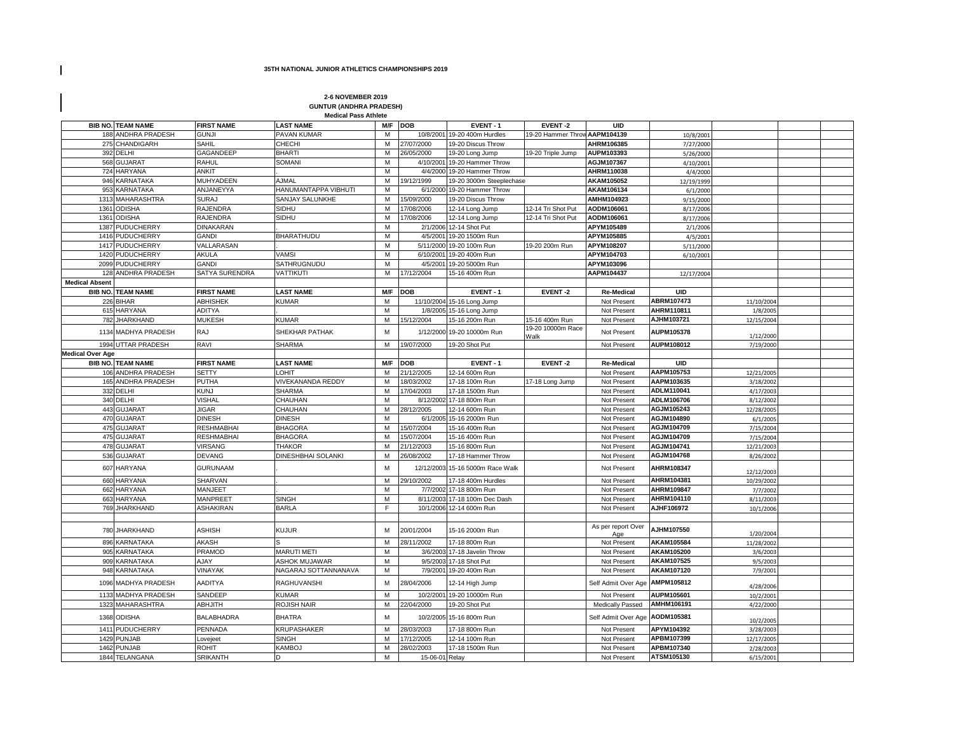## **35TH NATIONAL JUNIOR ATHLETICS CHAMPIONSHIPS 2019**

 $\mathbf I$ 

 $\mathbf I$ 

## **2-6 NOVEMBER 2019 GUNTUR (ANDHRA PRADESH) Medical Pass Athlete**

|                         | <b>BIB NO. TEAM NAME</b> | <b>FIRST NAME</b> | <b>LAST NAME</b>     |     | M/F DOB        | EVENT-1                          | <b>EVENT-2</b>                | UID                       |            |            |  |
|-------------------------|--------------------------|-------------------|----------------------|-----|----------------|----------------------------------|-------------------------------|---------------------------|------------|------------|--|
|                         | 188 ANDHRA PRADESH       | <b>GUNJI</b>      | PAVAN KUMAR          | м   | 10/8/2001      | 19-20 400m Hurdles               | 19-20 Hammer Throw AAPM104139 |                           | 10/8/2001  |            |  |
|                         | 275 CHANDIGARH           | SAHIL             | CHECHI               | M   | 27/07/2000     | 19-20 Discus Throw               |                               | AHRM106385                | 7/27/2000  |            |  |
|                         | 392 DELHI                | GAGANDEEP         | <b>BHARTI</b>        | M   | 26/05/2000     | 19-20 Long Jump                  | 19-20 Triple Jump             | AUPM103393                | 5/26/2000  |            |  |
|                         | 568 GUJARAT              | <b>RAHUL</b>      | <b>SOMANI</b>        | M   | 4/10/2001      | 19-20 Hammer Throw               |                               | AGJM107367                | 4/10/2001  |            |  |
|                         | 724 HARYANA              | <b>ANKIT</b>      |                      | M   | 4/4/2000       | 19-20 Hammer Throw               |                               | AHRM110038                | 4/4/2000   |            |  |
|                         | 946 KARNATAKA            | <b>MUHYADEEN</b>  | A.JMAL               | M   | 19/12/1999     | 19-20 3000m Steeplechase         |                               | AKAM105052                | 12/19/1999 |            |  |
|                         | 953 KARNATAKA            | ANJANEYYA         | HANUMANTAPPA VIBHUTI | M   | 6/1/2000       | 19-20 Hammer Throw               |                               | AKAM106134                | 6/1/2000   |            |  |
|                         | 1313 MAHARASHTRA         | <b>SURAJ</b>      | SANJAY SALUNKHE      | M   | 15/09/2000     | 19-20 Discus Throw               |                               | AMHM104923                | 9/15/2000  |            |  |
|                         | 1361 ODISHA              | RAJENDRA          | SIDHU                | M   | 17/08/2006     | 12-14 Long Jump                  | 12-14 Tri Shot Put            | AODM106061                | 8/17/2006  |            |  |
|                         | 1361 ODISHA              | <b>RAJENDRA</b>   | SIDHU                | M   | 17/08/2006     | 12-14 Long Jump                  | 12-14 Tri Shot Put            | AODM106061                | 8/17/2006  |            |  |
|                         | 1387 PUDUCHERRY          | <b>DINAKARAN</b>  |                      | M   |                | 2/1/2006 12-14 Shot Put          |                               | APYM105489                | 2/1/2006   |            |  |
|                         | 1416 PUDUCHERRY          | <b>GANDI</b>      | BHARATHUDU           | M   | 4/5/2001       | 19-20 1500m Run                  |                               | APYM105885                | 4/5/2001   |            |  |
|                         | 1417 PUDUCHERRY          | VALLARASAN        |                      | M   | 5/11/2000      | 19-20 100m Run                   | 19-20 200m Run                | APYM108207                | 5/11/2000  |            |  |
|                         | 1420 PUDUCHERRY          | AKULA             | VAMSI                | М   | 6/10/2001      | 19-20 400m Run                   |                               | APYM104703                | 6/10/2001  |            |  |
|                         | 2099 PUDUCHERRY          | <b>GANDI</b>      | SATHRUGNUDU          | M   | 4/5/2001       | 19-20 5000m Run                  |                               | APYM103096                |            |            |  |
|                         | 128 ANDHRA PRADESH       | SATYA SURENDRA    | VATTIKUTI            | М   | 17/12/2004     | 15-16 400m Run                   |                               | AAPM104437                | 12/17/2004 |            |  |
| <b>Medical Absent</b>   |                          |                   |                      |     |                |                                  |                               |                           |            |            |  |
|                         | <b>BIB NO. TEAM NAME</b> | <b>FIRST NAME</b> | <b>LAST NAME</b>     |     | M/F DOB        | EVENT-1                          | EVENT-2                       | <b>Re-Medical</b>         | <b>UID</b> |            |  |
|                         | 226 BIHAR                | <b>ABHISHEK</b>   | KUMAR                | M   |                | 11/10/2004 15-16 Long Jump       |                               | Not Present               | ABRM107473 | 11/10/2004 |  |
|                         | 615 HARYANA              | <b>ADITYA</b>     |                      | M   |                | 1/8/2005 15-16 Long Jump         |                               | Not Present               | AHRM110811 | 1/8/2005   |  |
|                         | 782 JHARKHAND            | <b>MUKESH</b>     | <b>KUMAR</b>         | M   | 15/12/2004     | 15-16 200m Run                   | 15-16 400m Run                | Not Present               | AJHM103721 | 12/15/2004 |  |
|                         |                          |                   |                      |     |                |                                  | 19-20 10000m Race             |                           |            |            |  |
|                         | 1134 MADHYA PRADESH      | <b>RAJ</b>        | SHEKHAR PATHAK       | M   | 1/12/2000      | 19-20 10000m Run                 | Walk                          | Not Present               | AUPM105378 | 1/12/2000  |  |
|                         | 1994 UTTAR PRADESH       | RAVI              | <b>SHARMA</b>        | M   | 19/07/2000     | 19-20 Shot Put                   |                               | Not Present               | AUPM108012 | 7/19/2000  |  |
| <b>Medical Over Age</b> |                          |                   |                      |     |                |                                  |                               |                           |            |            |  |
|                         | <b>BIB NO. TEAM NAME</b> | <b>FIRST NAME</b> | <b>LAST NAME</b>     | M/F | <b>DOB</b>     | EVENT-1                          | EVENT-2                       | <b>Re-Medical</b>         | <b>UID</b> |            |  |
|                         | 106 ANDHRA PRADESH       | <b>SETTY</b>      | <b>OHIT</b>          | M   | 21/12/2005     | 12-14 600m Run                   |                               | Not Present               | AAPM105753 | 12/21/2005 |  |
|                         | 165 ANDHRA PRADESH       | PUTHA             | VIVEKANANDA REDDY    | M   | 18/03/2002     | 17-18 100m Run                   | 17-18 Long Jump               | Not Present               | AAPM103635 | 3/18/2002  |  |
|                         | 332 DELHI                | <b>KUNJ</b>       | <b>SHARMA</b>        | M   | 17/04/2003     | 17-18 1500m Run                  |                               | Not Present               | ADLM110041 | 4/17/2003  |  |
|                         | 340 DELHI                | <b>VISHAL</b>     | CHAUHAN              | M   | 8/12/2002      | 17-18 800m Run                   |                               | Not Present               | ADLM106706 | 8/12/2002  |  |
|                         | 443 GUJARAT              | <b>JIGAR</b>      | CHAUHAN              | M   | 28/12/2005     | 12-14 600m Run                   |                               | Not Present               | AGJM105243 | 12/28/2005 |  |
|                         | 470 GUJARAT              | <b>DINESH</b>     | <b>DINESH</b>        | M   | 6/1/2005       | 15-16 2000m Run                  |                               | Not Present               | AGJM104890 | 6/1/2005   |  |
|                         | 475 GUJARAT              | <b>RESHMABHAI</b> | <b>BHAGORA</b>       | M   | 15/07/2004     | 15-16 400m Run                   |                               | Not Present               | AGJM104709 | 7/15/2004  |  |
|                         | 475 GUJARAT              | <b>RESHMABHAI</b> | <b>BHAGORA</b>       | M   | 15/07/2004     | 15-16 400m Run                   |                               | Not Present               | AGJM104709 | 7/15/2004  |  |
|                         | 478 GUJARAT              | VIRSANG           | <b>THAKOR</b>        | M   | 21/12/2003     | 15-16 800m Run                   |                               | Not Present               | AGJM104741 | 12/21/2003 |  |
|                         | 536 GUJARAT              | <b>DEVANG</b>     | DINESHBHAI SOLANKI   | M   | 26/08/2002     | 17-18 Hammer Throw               |                               | Not Present               | AGJM104768 | 8/26/2002  |  |
|                         | 607 HARYANA              | <b>GURUNAAM</b>   |                      | M   |                | 12/12/2003 15-16 5000m Race Walk |                               | Not Present               | AHRM108347 | 12/12/2003 |  |
|                         | 660 HARYANA              | SHARVAN           |                      | М   | 29/10/2002     | 17-18 400m Hurdles               |                               | Not Present               | AHRM104381 | 10/29/2002 |  |
|                         | 662 HARYANA              | MANJEET           |                      | M   | 7/7/2002       | 17-18 800m Run                   |                               | Not Present               | AHRM109847 | 7/7/2002   |  |
|                         | 663 HARYANA              | <b>MANPREET</b>   | <b>SINGH</b>         | M   |                | 8/11/2003 17-18 100m Dec Dash    |                               | Not Present               | AHRM104110 | 8/11/2003  |  |
|                         | 769 JHARKHAND            | ASHAKIRAN         | <b>BARLA</b>         | E   |                | 10/1/2006 12-14 600m Run         |                               | Not Present               | AJHF106972 | 10/1/2006  |  |
|                         |                          |                   |                      |     |                |                                  |                               |                           |            |            |  |
|                         | 780 JHARKHAND            | <b>ASHISH</b>     | KUJUR                | М   | 20/01/2004     | 15-16 2000m Run                  |                               | As per report Over<br>Age | AJHM107550 | 1/20/2004  |  |
|                         | 896 KARNATAKA            | AKASH             |                      | M   | 28/11/2002     | 17-18 800m Run                   |                               | Not Present               | AKAM105584 | 11/28/2002 |  |
|                         | 905 KARNATAKA            | PRAMOD            | <b>MARUTI METI</b>   | M   |                | 3/6/2003 17-18 Javelin Throw     |                               | Not Present               | AKAM105200 | 3/6/2003   |  |
|                         | 909 KARNATAKA            | <b>AJAY</b>       | <b>ASHOK MUJAWAR</b> | М   | 9/5/2003       | 17-18 Shot Put                   |                               | Not Present               | AKAM107525 | 9/5/2003   |  |
|                         | 948 KARNATAKA            | VINAYAK           | NAGARAJ SOTTANNANAVA | M   | 7/9/2001       | 19-20 400m Run                   |                               | Not Present               | AKAM107120 | 7/9/2001   |  |
|                         | 1096 MADHYA PRADESH      | <b>AADITYA</b>    | RAGHUVANSHI          | M   | 28/04/2006     | 12-14 High Jump                  |                               | Self Admit Over Age       | AMPM105812 | 4/28/2006  |  |
|                         | 1133 MADHYA PRADESH      | SANDEEP           | KUMAR                | M   | 10/2/200       | 19-20 10000m Run                 |                               | Not Present               | AUPM105601 | 10/2/2001  |  |
|                         | 1323 MAHARASHTRA         | ABHJITH           | ROJISH NAIR          | М   | 22/04/2000     | 19-20 Shot Put                   |                               | Medically Passed          | AMHM106191 | 4/22/2000  |  |
|                         | 1368 ODISHA              | BALABHADRA        | <b>BHATRA</b>        | М   |                | 10/2/2005 15-16 800m Run         |                               | Self Admit Over Age       | AODM105381 | 10/2/2005  |  |
|                         | 1411 PUDUCHERRY          | PENNADA           | <b>KRUPASHAKER</b>   | M   | 28/03/2003     | 17-18 800m Run                   |                               | Not Present               | APYM104392 | 3/28/2003  |  |
|                         | 1429 PUNJAB              | Lovejeet          | <b>SINGH</b>         | M   | 17/12/2005     | 12-14 100m Run                   |                               | Not Present               | APBM107399 | 12/17/2005 |  |
|                         | 1462 PUNJAB              | <b>ROHIT</b>      | KAMBOJ               | M   | 28/02/2003     | 17-18 1500m Run                  |                               | Not Present               | APBM107340 | 2/28/2003  |  |
|                         | 1844 TELANGANA           | <b>SRIKANTH</b>   | D                    | M   | 15-06-01 Relay |                                  |                               | Not Present               | ATSM105130 | 6/15/2001  |  |
|                         |                          |                   |                      |     |                |                                  |                               |                           |            |            |  |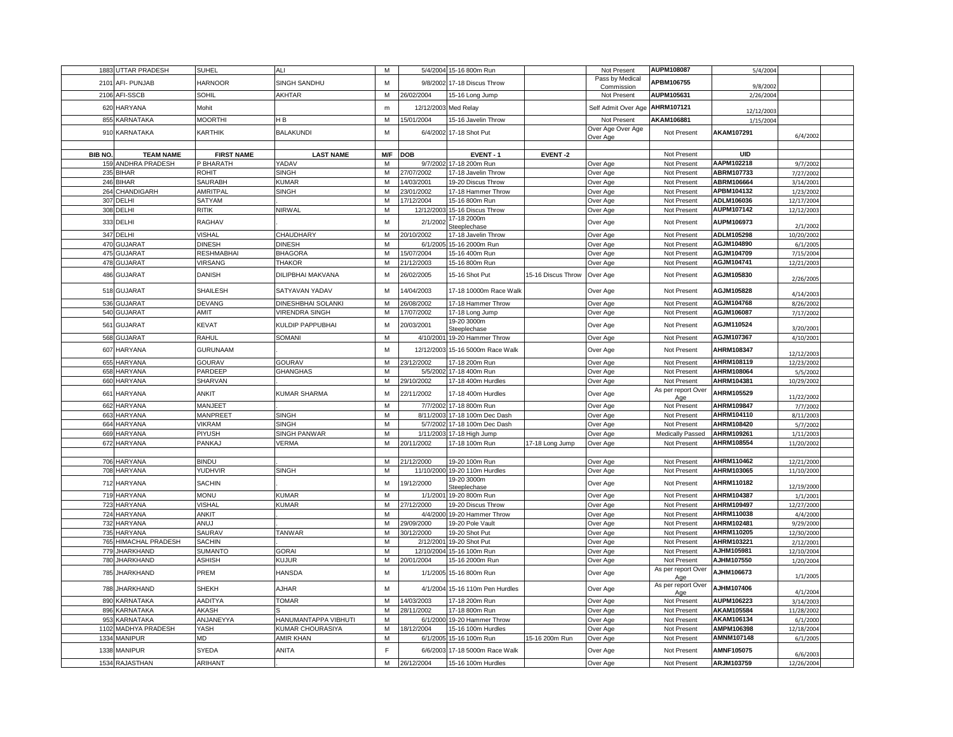|         | 1883 UTTAR PRADESH                | <b>SUHEL</b>            | ALI                   | M              |                        | 5/4/2004 15-16 800m Run                     |                    | Not Present                   | AUPM108087                 | 5/4/2004                 |                         |  |
|---------|-----------------------------------|-------------------------|-----------------------|----------------|------------------------|---------------------------------------------|--------------------|-------------------------------|----------------------------|--------------------------|-------------------------|--|
|         | 2101 AFI- PUNJAB                  | <b>HARNOOR</b>          | SINGH SANDHU          | M              |                        | 9/8/2002 17-18 Discus Throw                 |                    | Pass by Medical<br>Commission | APBM106755                 | 9/8/2002                 |                         |  |
|         | 2106 AFI-SSCB                     | SOHIL                   | AKHTAR                | M              | 26/02/2004             | 15-16 Long Jump                             |                    | Not Present                   | AUPM105631                 | 2/26/2004                |                         |  |
| 620     | <b>HARYANA</b>                    | Mohit                   |                       | ${\sf m}$      | 12/12/2003             | Med Relay                                   |                    | Self Admit Over Age           | AHRM107121                 | 12/12/2003               |                         |  |
| 855     | <b>KARNATAKA</b>                  | <b>MOORTHI</b>          | HВ                    | M              | 15/01/2004             | 15-16 Javelin Throw                         |                    | Not Present                   | AKAM106881                 | 1/15/2004                |                         |  |
| 910     | KARNATAKA                         | <b>KARTHIK</b>          | <b>BALAKUNDI</b>      | M              | 6/4/2002               | 17-18 Shot Put                              |                    | Over Age Over Age<br>Over Age | Not Present                | AKAM107291               | 6/4/2002                |  |
|         |                                   |                         |                       |                |                        |                                             |                    |                               |                            |                          |                         |  |
| BIB NO. | <b>TEAM NAME</b>                  | <b>FIRST NAME</b>       | <b>LAST NAME</b>      |                | M/F DOB                | EVENT-1                                     | EVENT-2            |                               | Not Present                | <b>UID</b>               |                         |  |
|         | 159 ANDHRA PRADESH                | P BHARATH               | YADAV                 | M              |                        | 9/7/2002 17-18 200m Run                     |                    | Over Age                      | Not Present                | AAPM102218               | 9/7/2002                |  |
|         | 235 BIHAR                         | ROHIT                   | <b>SINGH</b>          | M              | 27/07/2002             | 17-18 Javelin Throw                         |                    | Over Age                      | Not Present                | ABRM107733               | 7/27/2002               |  |
|         | 246 BIHAR                         | SAURABH                 | KUMAR                 | M              | 14/03/2001             | 19-20 Discus Throw                          |                    | Over Age                      | Not Present                | ABRM106664               | 3/14/2001               |  |
|         | 264 CHANDIGARH                    | AMRITPAL                | <b>SINGH</b>          | M              | 23/01/2002             | 17-18 Hammer Throw                          |                    | Over Age                      | Not Present                | APBM104132               | 1/23/2002               |  |
|         | 307 DELHI                         | SATYAM                  |                       | M              | 17/12/2004             | 15-16 800m Run                              |                    | Over Age                      | Not Present                | ADLM106036               | 12/17/2004              |  |
|         | 308 DELHI                         | RITIK                   | NIRWAL                | M              | 12/12/2003             | 15-16 Discus Throw                          |                    | Over Age                      | Not Present                | AUPM107142               | 12/12/2003              |  |
|         | 333 DELHI                         | RAGHAV                  |                       | M              | 2/1/2002               | 17-18 2000m                                 |                    |                               | Not Present                | AUPM106973               |                         |  |
|         |                                   |                         |                       |                |                        | Steeplechase                                |                    | Over Age                      |                            |                          | 2/1/2002                |  |
|         | 347 DELHI                         | VISHAL                  | CHAUDHARY             | M              | 20/10/2002             | 17-18 Javelin Throw                         |                    | Over Age                      | Not Present                | ADLM105298               | 10/20/2002              |  |
| 470     | <b>GUJARAT</b>                    | <b>DINESH</b>           | <b>DINESH</b>         | M              | 6/1/200                | 15-16 2000m Run                             |                    | Over Age                      | Not Present                | AGJM104890               | 6/1/2005                |  |
| 475     | <b>GUJARA1</b>                    | <b>RESHMABHAI</b>       | <b>BHAGORA</b>        | M              | 15/07/2004             | 15-16 400m Run                              |                    | Over Age                      | Not Present                | AGJM104709               | 7/15/2004               |  |
|         | 478 GUJARAT                       | <b>VIRSANG</b>          | <b>THAKOR</b>         | M              | 21/12/2003             | 15-16 800m Run                              |                    | Over Age                      | Not Present                | AGJM104741               | 12/21/2003              |  |
|         | 486 GUJARAT                       | <b>DANISH</b>           | DILIPBHAI MAKVANA     | M              | 26/02/2005             | 15-16 Shot Put                              | 15-16 Discus Throw | Over Age                      | Not Present                | AGJM105830               | 2/26/2005               |  |
|         | 518 GUJARAT                       | <b>SHAILESH</b>         | SATYAVAN YADAV        | M              | 14/04/2003             | 17-18 10000m Race Walk                      |                    | Over Age                      | Not Present                | AGJM105828               | 4/14/2003               |  |
|         | 536 GUJARAT                       | <b>DEVANG</b>           | DINESHBHAI SOLANKI    | M              | 26/08/2002             | 17-18 Hammer Throw                          |                    | Over Age                      | Not Present                | AGJM104768               | 8/26/2002               |  |
|         | 540 GUJARAT                       | AMIT                    | <b>VIRENDRA SINGH</b> | M              | 17/07/2002             | 17-18 Long Jump                             |                    | Over Age                      | Not Present                | AGJM106087               | 7/17/2002               |  |
| 561     | <b>GUJARAT</b>                    | <b>KEVAT</b>            | KULDIP PAPPUBHAI      | M              | 20/03/2001             | 19-20 3000m<br>Steeplechase                 |                    | Over Age                      | Not Present                | AGJM110524               | 3/20/2001               |  |
|         | 568 GUJARAT                       | RAHUL                   | SOMANI                | M              | 4/10/200               | 19-20 Hammer Throw                          |                    | Over Age                      | Not Present                | AGJM107367               | 4/10/2001               |  |
|         | 607 HARYANA                       | <b>GURUNAAM</b>         |                       | M              | 12/12/2003             | 15-16 5000m Race Walk                       |                    | Over Age                      | Not Present                | AHRM108347               | 12/12/2003              |  |
| 655     | <b>HARYANA</b>                    | GOURAV                  | GOURAV                | M              | 23/12/2002             | 17-18 200m Run                              |                    | Over Age                      | Not Present                | AHRM108119               | 12/23/2002              |  |
|         | 658 HARYANA                       | PARDEEP                 | GHANGHAS              | M              | 5/5/2002               | 17-18 400m Run                              |                    | Over Age                      | Not Present                | AHRM108064               | 5/5/2002                |  |
|         | 660 HARYANA                       | SHARVAN                 |                       | M              | 29/10/2002             | 17-18 400m Hurdles                          |                    | Over Age                      | Not Present                | AHRM104381               | 10/29/2002              |  |
|         | 661 HARYANA                       | <b>ANKIT</b>            | KUMAR SHARMA          | M              | 22/11/2002             | 17-18 400m Hurdles                          |                    | Over Age                      | As per report Over<br>Age  | AHRM105529               | 11/22/2002              |  |
|         | 662 HARYANA                       | MANJEET                 |                       | M              |                        | 7/7/2002 17-18 800m Run                     |                    | Over Age                      | Not Present                | AHRM109847               | 7/7/2002                |  |
| 663     | <b>HARYANA</b>                    | MANPREE <sup>®</sup>    | <b>SINGH</b>          | $\overline{M}$ | 8/11/2003              | 17-18 100m Dec Dash                         |                    | Over Age                      | Not Present                | AHRM104110               | 8/11/2003               |  |
| 664     | <b>HARYANA</b>                    | <b>VIKRAM</b>           | <b>SINGH</b>          | M              | 5/7/2002               | 17-18 100m Dec Dash                         |                    | Over Age                      | Not Present                | AHRM108420               | 5/7/2002                |  |
|         | 669 HARYANA                       | PIYUSH                  | SINGH PANWAR          | M              | 1/11/2003              | 17-18 High Jump                             |                    | Over Age                      | Medically Passed           | AHRM109261               | 1/11/2003               |  |
|         | 672 HARYANA                       | PANKAJ                  | VERMA                 | M              | 20/11/2002             | 17-18 100m Run                              | 17-18 Long Jump    | Over Age                      | Not Present                | AHRM108554               | 11/20/2002              |  |
|         |                                   |                         |                       |                |                        |                                             |                    |                               |                            |                          |                         |  |
|         | 706 HARYANA                       | <b>BINDU</b>            |                       | M              | 21/12/2000             | 19-20 100m Run                              |                    | Over Age                      | Not Present                | AHRM110462               | 12/21/2000              |  |
|         | 708 HARYANA                       | YUDHVIR                 | <b>SINGH</b>          | M              | 11/10/2000             | 19-20 110m Hurdles<br>19-20 3000m           |                    | Over Age                      | Not Present                | AHRM103065               | 11/10/2000              |  |
|         | 712 HARYANA                       | <b>SACHIN</b>           |                       | M              | 19/12/2000             | Steeplechase                                |                    | Over Age                      | Not Present                | AHRM110182               | 12/19/2000              |  |
| 719     | <b>HARYANA</b>                    | <b>MONU</b>             | KUMAR                 | M              | 1/1/200                | 19-20 800m Run                              |                    | Over Age                      | Not Present                | AHRM104387               | 1/1/2001                |  |
|         | 723 HARYANA                       | <b>VISHAL</b>           | KUMAR                 | M              | 27/12/2000             | 19-20 Discus Throw                          |                    | Over Age                      | Not Present                | AHRM109497               | 12/27/2000              |  |
|         | 724 HARYANA                       | ANKIT<br>ANUJ           |                       | M<br>M         | 4/4/2000<br>29/09/2000 | 19-20 Hammer Throw<br>19-20 Pole Vault      |                    | Over Age                      | Not Present<br>Not Present | AHRM110038               | 4/4/2000                |  |
| 735     | 732 HARYANA<br><b>HARYANA</b>     | <b>SAURAV</b>           | <b>TANWAR</b>         | M              | 30/12/2000             | 19-20 Shot Put                              |                    | Over Age                      | Not Present                | AHRM102481<br>AHRM110205 | 9/29/2000               |  |
| 765     | HIMACHAL PRADESH                  | <b>SACHIN</b>           |                       | M              | 2/12/2001              | 19-20 Shot Put                              |                    | Over Age<br>Over Age          | Not Present                | AHRM103221               | 12/30/2000<br>2/12/2001 |  |
| 779     | <b>JHARKHAND</b>                  | <b>SUMANTC</b>          | GORAI                 | M              | 12/10/2004             | 15-16 100m Run                              |                    | Over Age                      | Not Present                | AJHM105981               | 12/10/2004              |  |
|         | 780 JHARKHAND                     | <b>ASHISH</b>           | KUJUR                 | M              | 20/01/2004             | 15-16 2000m Run                             |                    | Over Age                      | Not Present                | AJHM107550               | 1/20/2004               |  |
|         | 785 JHARKHAND                     | PREM                    | HANSDA                | M              | 1/1/2005               | 15-16 800m Run                              |                    | Over Age                      | As per report Over         | AJHM106673               |                         |  |
|         | 788 JHARKHAND                     | <b>SHEKH</b>            | AJHAR                 | M              | 4/1/2004               | 15-16 110m Pen Hurdles                      |                    | Over Age                      | Age<br>As per report Over  | AJHM107406               | 1/1/2005                |  |
|         |                                   | <b>AADITYA</b>          |                       |                | 14/03/2003             |                                             |                    |                               | Age                        | AUPM106223               | 4/1/2004                |  |
| 896     | 890 KARNATAKA<br><b>KARNATAKA</b> | <b>AKASH</b>            | <b>TOMAR</b>          | M<br>м         | 28/11/2002             | 17-18 200m Run<br>17-18 800m Run            |                    | Over Age<br>Over Age          | Not Present<br>Not Present | AKAM105584               | 3/14/2003<br>11/28/2002 |  |
| 953     | <b>KARNATAKA</b>                  | ANJANEYYA               | HANUMANTAPPA VIBHUTI  | M              | 6/1/2000               | 19-20 Hammer Throw                          |                    | Over Age                      | Not Present                | AKAM106134               | 6/1/2000                |  |
| 1102    | MADHYA PRADESH                    | YASH                    | KUMAR CHOURASIYA      | M              | 18/12/2004             | 15-16 100m Hurdles                          |                    | Over Age                      | Not Present                | AMPM106398               | 12/18/2004              |  |
| 1334    | <b>MANIPUR</b>                    | <b>MD</b>               | AMIR KHAN             | M              | 6/1/2005               | 15-16 100m Run                              | 15-16 200m Run     | Over Age                      | Not Present                | AMNM107148               | 6/1/2005                |  |
|         |                                   |                         |                       |                |                        |                                             |                    |                               |                            |                          |                         |  |
| 1338    | <b>MANIPUR</b><br>1534 RAJASTHAN  | <b>SYEDA</b><br>ARIHANT | ANITA                 | F.<br>M        | 6/6/2003<br>26/12/2004 | 17-18 5000m Race Walk<br>15-16 100m Hurdles |                    | Over Age<br>Over Age          | Not Present<br>Not Present | AMNF105075<br>ARJM103759 | 6/6/2003<br>12/26/2004  |  |
|         |                                   |                         |                       |                |                        |                                             |                    |                               |                            |                          |                         |  |